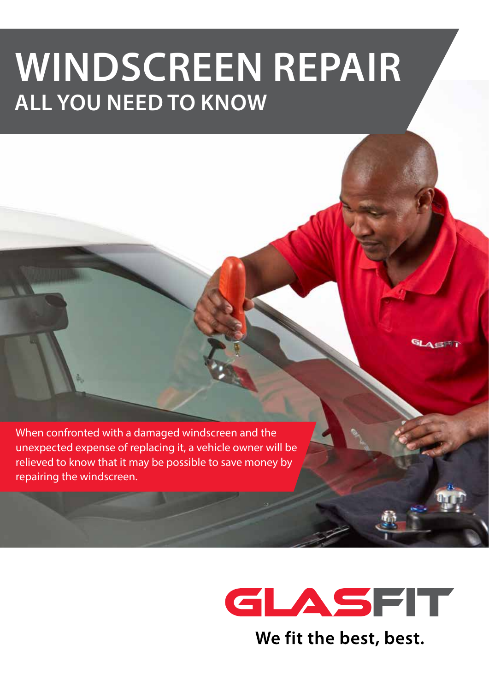# **WINDSCREEN REPAIR ALL YOU NEED TO KNOW**

When confronted with a damaged windscreen and the unexpected expense of replacing it, a vehicle owner will be relieved to know that it may be possible to save money by repairing the windscreen.

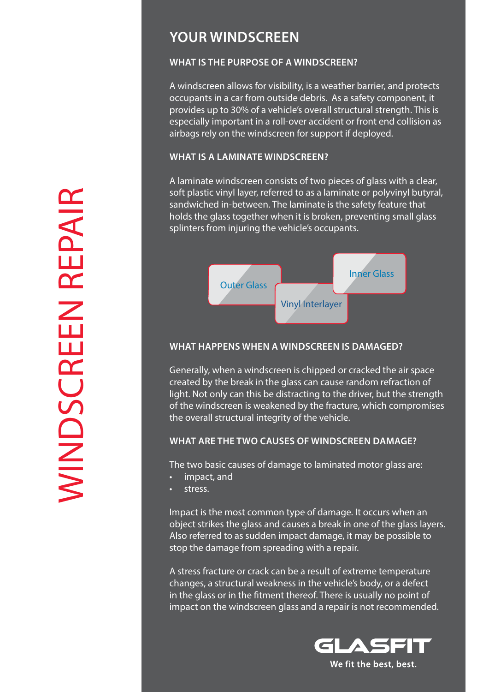### **YOUR WINDSCREEN**

#### **WHAT IS THE PURPOSE OF A WINDSCREEN?**

A windscreen allows for visibility, is a weather barrier, and protects occupants in a car from outside debris. As a safety component, it provides up to 30% of a vehicle's overall structural strength. This is especially important in a roll-over accident or front end collision as airbags rely on the windscreen for support if deployed.

#### **WHAT IS A LAMINATE WINDSCREEN?**

A laminate windscreen consists of two pieces of glass with a clear, soft plastic vinyl layer, referred to as a laminate or polyvinyl butyral, sandwiched in-between. The laminate is the safety feature that holds the glass together when it is broken, preventing small glass splinters from injuring the vehicle's occupants.



#### **WHAT HAPPENS WHEN A WINDSCREEN IS DAMAGED?**

Generally, when a windscreen is chipped or cracked the air space created by the break in the glass can cause random refraction of light. Not only can this be distracting to the driver, but the strength of the windscreen is weakened by the fracture, which compromises the overall structural integrity of the vehicle.

#### **WHAT ARE THE TWO CAUSES OF WINDSCREEN DAMAGE?**

The two basic causes of damage to laminated motor glass are:

- impact, and
- stress.

Impact is the most common type of damage. It occurs when an object strikes the glass and causes a break in one of the glass layers. Also referred to as sudden impact damage, it may be possible to stop the damage from spreading with a repair.

A stress fracture or crack can be a result of extreme temperature changes, a structural weakness in the vehicle's body, or a defect in the glass or in the fitment thereof. There is usually no point of impact on the windscreen glass and a repair is not recommended.

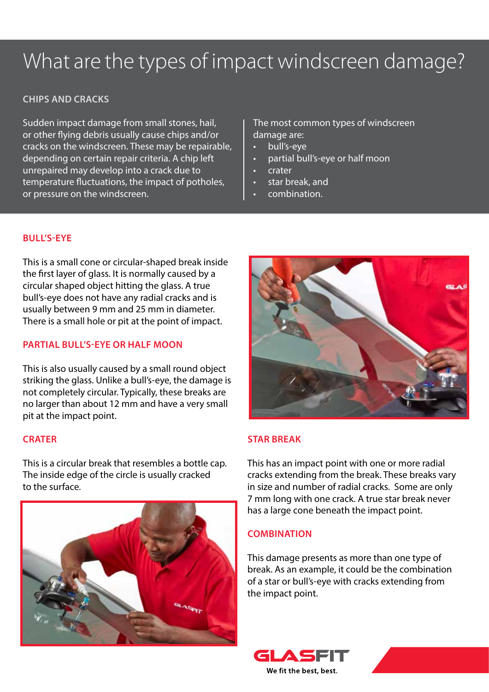## What are the types of impact windscreen damage?

#### **CHIPS AND CRACKS**

Sudden impact damage from small stones, hail, or other flying debris usually cause chips and/or cracks on the windscreen. These may be repairable, depending on certain repair criteria. A chip left unrepaired may develop into a crack due to temperature fluctuations, the impact of potholes, or pressure on the windscreen.

The most common types of windscreen damage are:

- bull's-eye
- partial bull's-eye or half moon
- crater
- star break, and
- combination.

#### **BULL'S-EYE**

This is a small cone or circular-shaped break inside the first layer of glass. It is normally caused by a circular shaped object hitting the glass. A true bull's-eye does not have any radial cracks and is usually between 9 mm and 25 mm in diameter. There is a small hole or pit at the point of impact.

#### **PARTIAL BULL'S-EYE OR HALF MOON**

This is also usually caused by a small round object striking the glass. Unlike a bull's-eye, the damage is not completely circular. Typically, these breaks are no larger than about 12 mm and have a very small pit at the impact point.

#### **CRATER**

This is a circular break that resembles a bottle cap. The inside edge of the circle is usually cracked to the surface.





#### **STAR BREAK**

This has an impact point with one or more radial cracks extending from the break. These breaks vary in size and number of radial cracks. Some are only 7 mm long with one crack. A true star break never has a large cone beneath the impact point.

#### **COMBINATION**

This damage presents as more than one type of break. As an example, it could be the combination of a star or bull's-eye with cracks extending from the impact point.



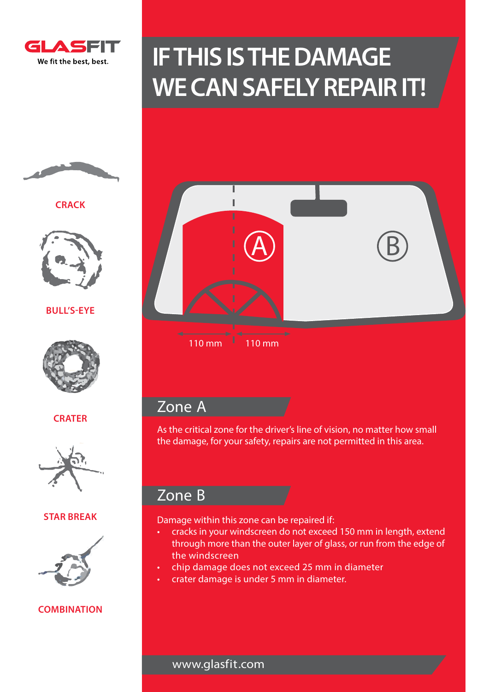

## **IF THIS IS THE DAMAGE WE CAN SAFELY REPAIR IT!**



**CRACK**



**BULL'S-EYE**



**CRATER**



#### **STAR BREAK**



#### **COMBINATION**

| I<br>I<br>$\overline{\mathsf{A}}$<br>I<br>I |  |
|---------------------------------------------|--|
| ٠<br>I<br>г                                 |  |

B

 $110 \text{ mm}$  110 mm

### Zone A

As the critical zone for the driver's line of vision, no matter how small the damage, for your safety, repairs are not permitted in this area.

## Zone B

Damage within this zone can be repaired if:

- cracks in your windscreen do not exceed 150 mm in length, extend through more than the outer layer of glass, or run from the edge of the windscreen
- chip damage does not exceed 25 mm in diameter
- crater damage is under 5 mm in diameter.

www.glasfit.com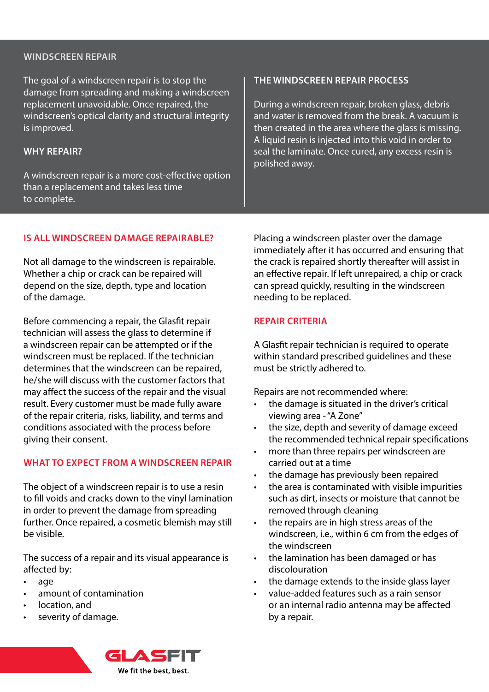#### **WINDSCREEN REPAIR**

The goal of a windscreen repair is to stop the damage from spreading and making a windscreen replacement unavoidable. Once repaired, the windscreen's optical clarity and structural integrity is improved.

#### **WHY REPAIR?**

A windscreen repair is a more cost-effective option than a replacement and takes less time to complete.

#### **THE WINDSCREEN REPAIR PROCESS**

During a windscreen repair, broken glass, debris and water is removed from the break. A vacuum is then created in the area where the glass is missing. A liquid resin is injected into this void in order to seal the laminate. Once cured, any excess resin is polished away.

#### **IS ALL WINDSCREEN DAMAGE REPAIRABLE?**

Not all damage to the windscreen is repairable. Whether a chip or crack can be repaired will depend on the size, depth, type and location of the damage.

Before commencing a repair, the Glasfit repair technician will assess the glass to determine if a windscreen repair can be attempted or if the windscreen must be replaced. If the technician determines that the windscreen can be repaired, he/she will discuss with the customer factors that may affect the success of the repair and the visual result. Every customer must be made fully aware of the repair criteria, risks, liability, and terms and conditions associated with the process before giving their consent.

#### **WHAT TO EXPECT FROM A WINDSCREEN REPAIR**

The object of a windscreen repair is to use a resin to fill voids and cracks down to the vinyl lamination in order to prevent the damage from spreading further. Once repaired, a cosmetic blemish may still be visible.

The success of a repair and its visual appearance is affected by:

- age
- amount of contamination
- location, and
- severity of damage.

Placing a windscreen plaster over the damage immediately after it has occurred and ensuring that the crack is repaired shortly thereafter will assist in an effective repair. If left unrepaired, a chip or crack can spread quickly, resulting in the windscreen needing to be replaced.

#### **REPAIR CRITERIA**

A Glasfit repair technician is required to operate within standard prescribed guidelines and these must be strictly adhered to.

Repairs are not recommended where:

- the damage is situated in the driver's critical viewing area - "A Zone"
- the size, depth and severity of damage exceed the recommended technical repair specifications
- more than three repairs per windscreen are carried out at a time
- the damage has previously been repaired
- the area is contaminated with visible impurities such as dirt, insects or moisture that cannot be removed through cleaning
- the repairs are in high stress areas of the windscreen, i.e., within 6 cm from the edges of the windscreen
- the lamination has been damaged or has discolouration
- the damage extends to the inside glass layer
- value-added features such as a rain sensor or an internal radio antenna may be affected by a repair.